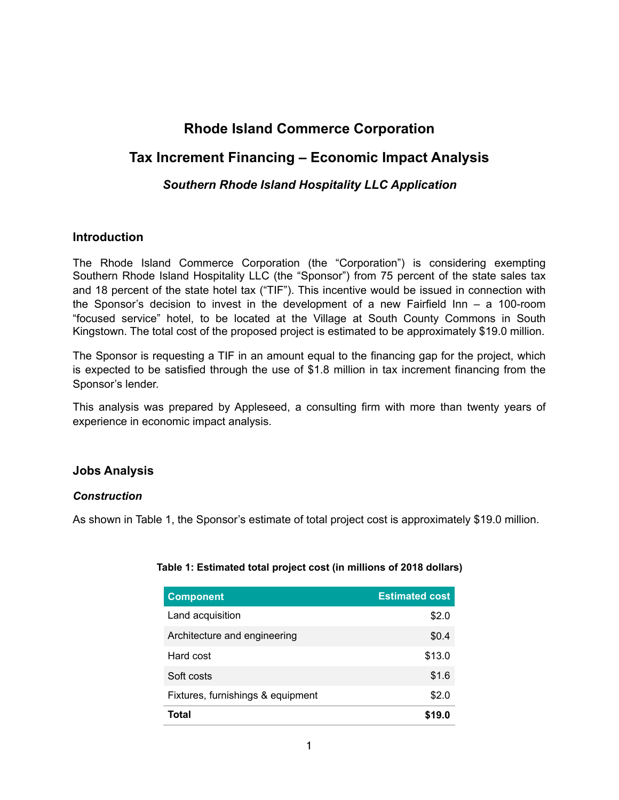# **Rhode Island Commerce Corporation**

# **Tax Increment Financing – Economic Impact Analysis**

## *Southern Rhode Island Hospitality LLC Application*

### **Introduction**

The Rhode Island Commerce Corporation (the "Corporation") is considering exempting Southern Rhode Island Hospitality LLC (the "Sponsor") from 75 percent of the state sales tax and 18 percent of the state hotel tax ("TIF"). This incentive would be issued in connection with the Sponsor's decision to invest in the development of a new Fairfield Inn – a 100-room "focused service" hotel, to be located at the Village at South County Commons in South Kingstown. The total cost of the proposed project is estimated to be approximately \$19.0 million.

The Sponsor is requesting a TIF in an amount equal to the financing gap for the project, which is expected to be satisfied through the use of \$1.8 million in tax increment financing from the Sponsor's lender.

This analysis was prepared by Appleseed, a consulting firm with more than twenty years of experience in economic impact analysis.

## **Jobs Analysis**

#### *Construction*

As shown in Table 1, the Sponsor's estimate of total project cost is approximately \$19.0 million.

| <b>Component</b>                  | <b>Estimated cost</b> |
|-----------------------------------|-----------------------|
| Land acquisition                  | \$2.0                 |
| Architecture and engineering      | \$0.4                 |
| Hard cost                         | \$13.0                |
| Soft costs                        | \$1.6                 |
| Fixtures, furnishings & equipment | \$2.0                 |
| Total                             | \$19.0                |

#### **Table 1: Estimated total project cost (in millions of 2018 dollars)**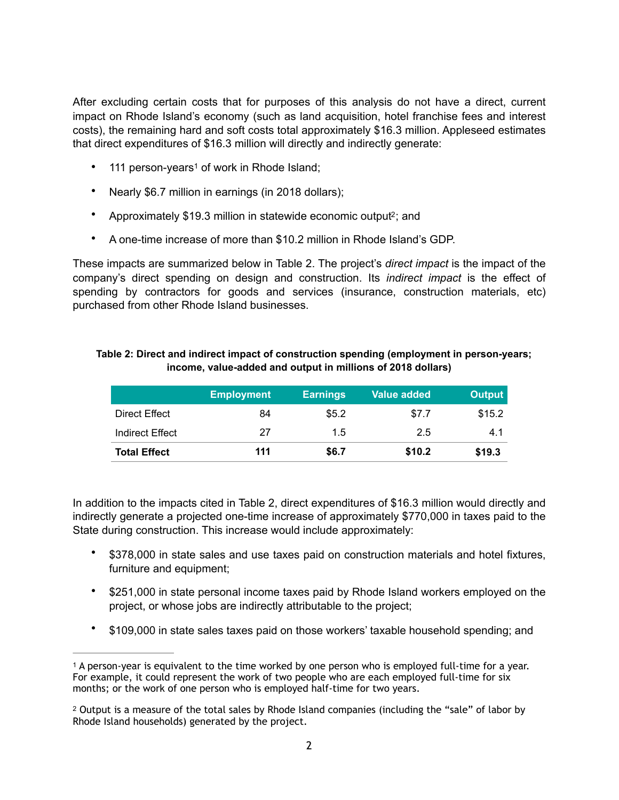After excluding certain costs that for purposes of this analysis do not have a direct, current impact on Rhode Island's economy (such as land acquisition, hotel franchise fees and interest costs), the remaining hard and soft costs total approximately \$16.3 million. Appleseed estimates that direct expenditures of \$16.3 million will directly and indirectly generate:

- <span id="page-1-2"></span>[1](#page-1-0)11 person-years<sup>1</sup> of work in Rhode Island;
- Nearly \$6.7 million in earnings (in 2018 dollars);
- <span id="page-1-3"></span>• Approximately \$19.3 million in statewide economic output<sup>2</sup>[;](#page-1-1) and
- A one-time increase of more than \$10.2 million in Rhode Island's GDP.

These impacts are summarized below in Table 2. The project's *direct impact* is the impact of the company's direct spending on design and construction. Its *indirect impact* is the effect of spending by contractors for goods and services (insurance, construction materials, etc) purchased from other Rhode Island businesses.

|                        | <b>Employment</b> | <b>Earnings</b> | <b>Value added</b> | <b>Output</b> |
|------------------------|-------------------|-----------------|--------------------|---------------|
| Direct Effect          | 84                | \$5.2           | \$7.7              | \$15.2        |
| <b>Indirect Effect</b> | 27                | 1.5             | 2.5                | 4.1           |
| <b>Total Effect</b>    | 111               | \$6.7           | \$10.2             | \$19.3        |

#### **Table 2: Direct and indirect impact of construction spending (employment in person-years; income, value-added and output in millions of 2018 dollars)**

In addition to the impacts cited in Table 2, direct expenditures of \$16.3 million would directly and indirectly generate a projected one-time increase of approximately \$770,000 in taxes paid to the State during construction. This increase would include approximately:

- \$378,000 in state sales and use taxes paid on construction materials and hotel fixtures, furniture and equipment;
- \$251,000 in state personal income taxes paid by Rhode Island workers employed on the project, or whose jobs are indirectly attributable to the project;
- \$109,000 in state sales taxes paid on those workers' taxable household spending; and

<span id="page-1-0"></span><sup>&</sup>lt;sup>[1](#page-1-2)</sup> A person-year is equivalent to the time worked by one person who is employed full-time for a year. For example, it could represent the work of two people who are each employed full-time for six months; or the work of one person who is employed half-time for two years.

<span id="page-1-1"></span><sup>&</sup>lt;sup>[2](#page-1-3)</sup> Output is a measure of the total sales by Rhode Island companies (including the "sale" of labor by Rhode Island households) generated by the project.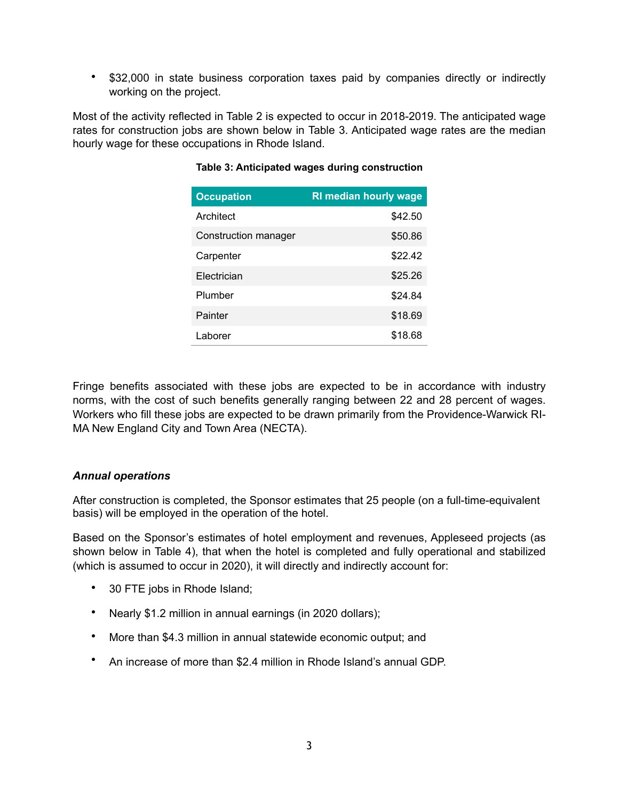• \$32,000 in state business corporation taxes paid by companies directly or indirectly working on the project.

Most of the activity reflected in Table 2 is expected to occur in 2018-2019. The anticipated wage rates for construction jobs are shown below in Table 3. Anticipated wage rates are the median hourly wage for these occupations in Rhode Island.

| <b>Occupation</b>    | <b>RI median hourly wage</b> |
|----------------------|------------------------------|
| Architect            | \$42.50                      |
| Construction manager | \$50.86                      |
| Carpenter            | \$22.42                      |
| Electrician          | \$25.26                      |
| Plumber              | \$24.84                      |
| Painter              | \$18.69                      |
| Laborer              | \$18.68                      |

### **Table 3: Anticipated wages during construction**

Fringe benefits associated with these jobs are expected to be in accordance with industry norms, with the cost of such benefits generally ranging between 22 and 28 percent of wages. Workers who fill these jobs are expected to be drawn primarily from the Providence-Warwick RI-MA New England City and Town Area (NECTA).

## *Annual operations*

After construction is completed, the Sponsor estimates that 25 people (on a full-time-equivalent basis) will be employed in the operation of the hotel.

Based on the Sponsor's estimates of hotel employment and revenues, Appleseed projects (as shown below in Table 4), that when the hotel is completed and fully operational and stabilized (which is assumed to occur in 2020), it will directly and indirectly account for:

- 30 FTE jobs in Rhode Island;
- Nearly \$1.2 million in annual earnings (in 2020 dollars);
- More than \$4.3 million in annual statewide economic output; and
- An increase of more than \$2.4 million in Rhode Island's annual GDP.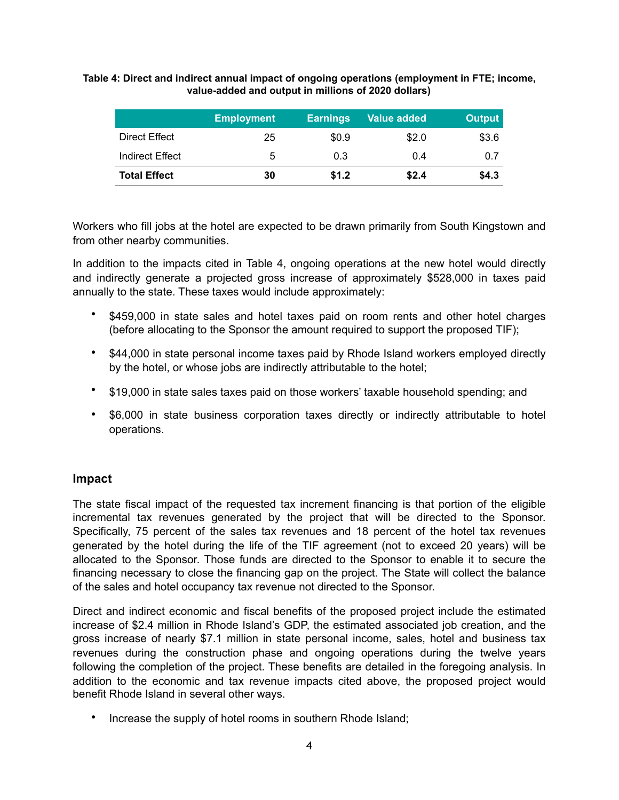#### **Table 4: Direct and indirect annual impact of ongoing operations (employment in FTE; income, value-added and output in millions of 2020 dollars)**

|                     | <b>Employment</b> | <b>Earnings</b> | <b>Value added</b> | <b>Output</b> |
|---------------------|-------------------|-----------------|--------------------|---------------|
| Direct Effect       | 25                | \$0.9           | \$2.0              | \$3.6         |
| Indirect Effect     | 5                 | 0.3             | 0.4                | 0.7           |
| <b>Total Effect</b> | 30                | \$1.2           | \$2.4              | \$4.3         |

Workers who fill jobs at the hotel are expected to be drawn primarily from South Kingstown and from other nearby communities.

In addition to the impacts cited in Table 4, ongoing operations at the new hotel would directly and indirectly generate a projected gross increase of approximately \$528,000 in taxes paid annually to the state. These taxes would include approximately:

- \$459,000 in state sales and hotel taxes paid on room rents and other hotel charges (before allocating to the Sponsor the amount required to support the proposed TIF);
- \$44,000 in state personal income taxes paid by Rhode Island workers employed directly by the hotel, or whose jobs are indirectly attributable to the hotel;
- \$19,000 in state sales taxes paid on those workers' taxable household spending; and
- \$6,000 in state business corporation taxes directly or indirectly attributable to hotel operations.

## **Impact**

The state fiscal impact of the requested tax increment financing is that portion of the eligible incremental tax revenues generated by the project that will be directed to the Sponsor. Specifically, 75 percent of the sales tax revenues and 18 percent of the hotel tax revenues generated by the hotel during the life of the TIF agreement (not to exceed 20 years) will be allocated to the Sponsor. Those funds are directed to the Sponsor to enable it to secure the financing necessary to close the financing gap on the project. The State will collect the balance of the sales and hotel occupancy tax revenue not directed to the Sponsor.

Direct and indirect economic and fiscal benefits of the proposed project include the estimated increase of \$2.4 million in Rhode Island's GDP, the estimated associated job creation, and the gross increase of nearly \$7.1 million in state personal income, sales, hotel and business tax revenues during the construction phase and ongoing operations during the twelve years following the completion of the project. These benefits are detailed in the foregoing analysis. In addition to the economic and tax revenue impacts cited above, the proposed project would benefit Rhode Island in several other ways.

• Increase the supply of hotel rooms in southern Rhode Island;